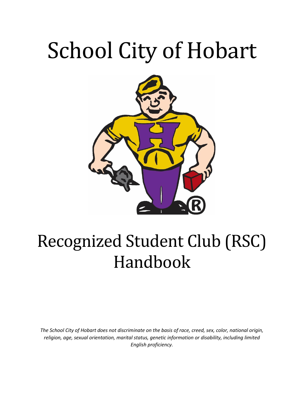# School City of Hobart



# Recognized Student Club (RSC) Handbook

*The School City of Hobart does not discriminate on the basis of race, creed, sex, color, national origin, religion, age, sexual orientation, marital status, genetic information or disability, including limited English proficiency.*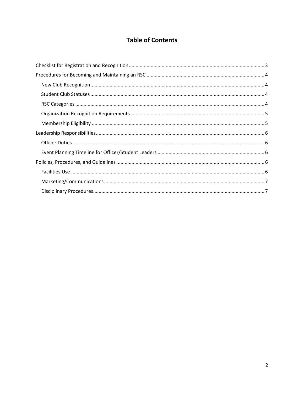# **Table of Contents**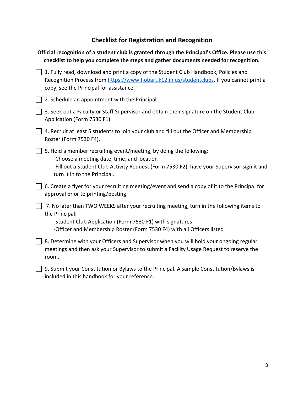# **Checklist for Registration and Recognition**

<span id="page-2-0"></span>

|       | Official recognition of a student club is granted through the Principal's Office. Please use this<br>checklist to help you complete the steps and gather documents needed for recognition.                                                       |
|-------|--------------------------------------------------------------------------------------------------------------------------------------------------------------------------------------------------------------------------------------------------|
|       | 1. Fully read, download and print a copy of the Student Club Handbook, Policies and<br>Recognition Process from https://www.hobart.k12.in.us/studentclubs. If you cannot print a<br>copy, see the Principal for assistance.                      |
|       | 2. Schedule an appointment with the Principal.                                                                                                                                                                                                   |
|       | 3. Seek out a Faculty or Staff Supervisor and obtain their signature on the Student Club<br>Application (Form 7530 F1).                                                                                                                          |
|       | 4. Recruit at least 5 students to join your club and fill out the Officer and Membership<br>Roster (Form 7530 F4).                                                                                                                               |
|       | 5. Hold a member recruiting event/meeting, by doing the following:<br>-Choose a meeting date, time, and location<br>-Fill out a Student Club Activity Request (Form 7530 F2), have your Supervisor sign it and<br>turn it in to the Principal.   |
|       | 6. Create a flyer for your recruiting meeting/event and send a copy of it to the Principal for<br>approval prior to printing/posting.                                                                                                            |
|       | 7. No later than TWO WEEKS after your recruiting meeting, turn in the following items to<br>the Principal:<br>-Student Club Application (Form 7530 F1) with signatures<br>-Officer and Membership Roster (Form 7530 F4) with all Officers listed |
| room. | 8. Determine with your Officers and Supervisor when you will hold your ongoing regular<br>meetings and then ask your Supervisor to submit a Facility Usage Request to reserve the                                                                |
|       | 9. Submit your Constitution or Bylaws to the Principal. A sample Constitution/Bylaws is<br>included in this handbook for your reference.                                                                                                         |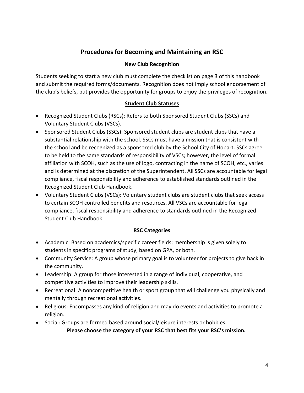# **Procedures for Becoming and Maintaining an RSC**

## **New Club Recognition**

<span id="page-3-1"></span><span id="page-3-0"></span>Students seeking to start a new club must complete the checklist on page 3 of this handbook and submit the required forms/documents. Recognition does not imply school endorsement of the club's beliefs, but provides the opportunity for groups to enjoy the privileges of recognition.

# **Student Club Statuses**

- <span id="page-3-2"></span> Recognized Student Clubs (RSCs): Refers to both Sponsored Student Clubs (SSCs) and Voluntary Student Clubs (VSCs).
- Sponsored Student Clubs (SSCs): Sponsored student clubs are student clubs that have a substantial relationship with the school. SSCs must have a mission that is consistent with the school and be recognized as a sponsored club by the School City of Hobart. SSCs agree to be held to the same standards of responsibility of VSCs; however, the level of formal affiliation with SCOH, such as the use of logo, contracting in the name of SCOH, etc., varies and is determined at the discretion of the Superintendent. All SSCs are accountable for legal compliance, fiscal responsibility and adherence to established standards outlined in the Recognized Student Club Handbook.
- Voluntary Student Clubs (VSCs): Voluntary student clubs are student clubs that seek access to certain SCOH controlled benefits and resources. All VSCs are accountable for legal compliance, fiscal responsibility and adherence to standards outlined in the Recognized Student Club Handbook.

# **RSC Categories**

- <span id="page-3-3"></span> Academic: Based on academics/specific career fields; membership is given solely to students in specific programs of study, based on GPA, or both.
- Community Service: A group whose primary goal is to volunteer for projects to give back in the community.
- Leadership: A group for those interested in a range of individual, cooperative, and competitive activities to improve their leadership skills.
- Recreational: A noncompetitive health or sport group that will challenge you physically and mentally through recreational activities.
- Religious: Encompasses any kind of religion and may do events and activities to promote a religion.
- Social: Groups are formed based around social/leisure interests or hobbies.

**Please choose the category of your RSC that best fits your RSC's mission.**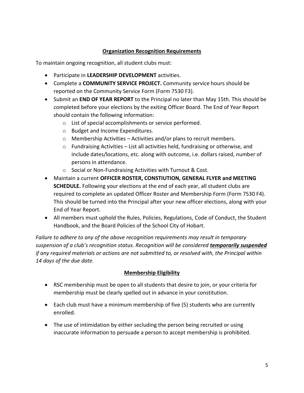# **Organization Recognition Requirements**

<span id="page-4-0"></span>To maintain ongoing recognition, all student clubs must:

- Participate in **LEADERSHIP DEVELOPMENT** activities.
- Complete a **COMMUNITY SERVICE PROJECT.** Community service hours should be reported on the Community Service Form (Form 7530 F3).
- Submit an **END OF YEAR REPORT** to the Principal no later than May 15th. This should be completed before your elections by the exiting Officer Board. The End of Year Report should contain the following information:
	- o List of special accomplishments or service performed.
	- o Budget and Income Expenditures.
	- o Membership Activities Activities and/or plans to recruit members.
	- $\circ$  Fundraising Activities List all activities held, fundraising or otherwise, and include dates/locations, etc. along with outcome, i.e. dollars raised, number of persons in attendance.
	- o Social or Non-Fundraising Activities with Turnout & Cost.
- Maintain a current **OFFICER ROSTER, CONSTIUTION, GENERAL FLYER and MEETING SCHEDULE.** Following your elections at the end of each year, all student clubs are required to complete an updated Officer Roster and Membership Form (Form 7530 F4). This should be turned into the Principal after your new officer elections, along with your End of Year Report.
- All members must uphold the Rules, Policies, Regulations, Code of Conduct, the Student Handbook, and the Board Policies of the School City of Hobart.

*Failure to adhere to any of the above recognition requirements may result in temporary suspension of a club's recognition status. Recognition will be considered temporarily suspended if any required materials or actions are not submitted to, or resolved with, the Principal within 14 days of the due date.* 

# **Membership Eligibility**

- <span id="page-4-1"></span> RSC membership must be open to all students that desire to join, or your criteria for membership must be clearly spelled out in advance in your constitution.
- Each club must have a minimum membership of five (5) students who are currently enrolled.
- The use of intimidation by either secluding the person being recruited or using inaccurate information to persuade a person to accept membership is prohibited.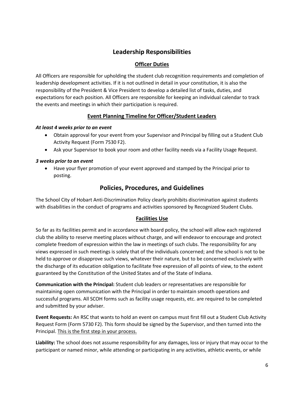# **Leadership Responsibilities**

# **Officer Duties**

<span id="page-5-1"></span><span id="page-5-0"></span>All Officers are responsible for upholding the student club recognition requirements and completion of leadership development activities. If it is not outlined in detail in your constitution, it is also the responsibility of the President & Vice President to develop a detailed list of tasks, duties, and expectations for each position. All Officers are responsible for keeping an individual calendar to track the events and meetings in which their participation is required.

#### **Event Planning Timeline for Officer/Student Leaders**

#### <span id="page-5-2"></span>*At least 4 weeks prior to an event*

- Obtain approval for your event from your Supervisor and Principal by filling out a Student Club Activity Request (Form 7530 F2).
- Ask your Supervisor to book your room and other facility needs via a Facility Usage Request.

#### *3 weeks prior to an event*

 Have your flyer promotion of your event approved and stamped by the Principal prior to posting.

# **Policies, Procedures, and Guidelines**

<span id="page-5-3"></span>The School City of Hobart Anti-Discrimination Policy clearly prohibits discrimination against students with disabilities in the conduct of programs and activities sponsored by Recognized Student Clubs.

# **Facilities Use**

<span id="page-5-4"></span>So far as its facilities permit and in accordance with board policy, the school will allow each registered club the ability to reserve meeting places without charge, and will endeavor to encourage and protect complete freedom of expression within the law in meetings of such clubs. The responsibility for any views expressed in such meetings is solely that of the individuals concerned; and the school is not to be held to approve or disapprove such views, whatever their nature, but to be concerned exclusively with the discharge of its education obligation to facilitate free expression of all points of view, to the extent guaranteed by the Constitution of the United States and of the State of Indiana.

**Communication with the Principal:** Student club leaders or representatives are responsible for maintaining open communication with the Principal in order to maintain smooth operations and successful programs. All SCOH forms such as facility usage requests, etc. are required to be completed and submitted by your adviser.

**Event Requests:** An RSC that wants to hold an event on campus must first fill out a Student Club Activity Request Form (Form 5730 F2). This form should be signed by the Supervisor, and then turned into the Principal. This is the first step in your process.

**Liability:** The school does not assume responsibility for any damages, loss or injury that may occur to the participant or named minor, while attending or participating in any activities, athletic events, or while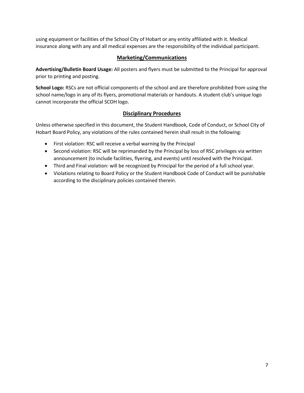using equipment or facilities of the School City of Hobart or any entity affiliated with it. Medical insurance along with any and all medical expenses are the responsibility of the individual participant.

## **Marketing/Communications**

<span id="page-6-0"></span>**Advertising/Bulletin Board Usage:** All posters and flyers must be submitted to the Principal for approval prior to printing and posting.

**School Logo:** RSCs are not official components of the school and are therefore prohibited from using the school name/logo in any of its flyers, promotional materials or handouts. A student club's unique logo cannot incorporate the official SCOH logo.

# **Disciplinary Procedures**

<span id="page-6-1"></span>Unless otherwise specified in this document, the Student Handbook, Code of Conduct, or School City of Hobart Board Policy, any violations of the rules contained herein shall result in the following:

- First violation: RSC will receive a verbal warning by the Principal
- Second violation: RSC will be reprimanded by the Principal by loss of RSC privileges via written announcement (to include facilities, flyering, and events) until resolved with the Principal.
- Third and Final violation: will be recognized by Principal for the period of a full school year.
- Violations relating to Board Policy or the Student Handbook Code of Conduct will be punishable according to the disciplinary policies contained therein.